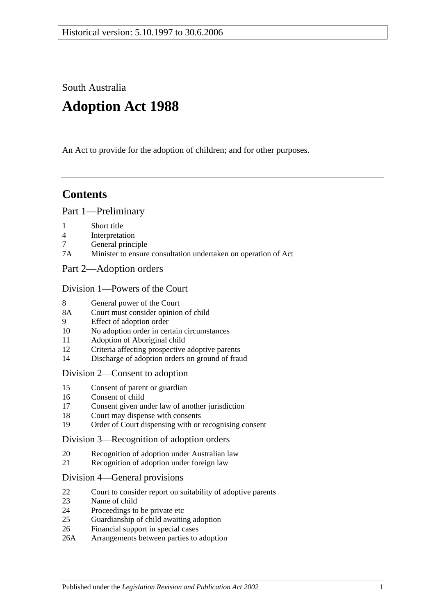South Australia

# **Adoption Act 1988**

An Act to provide for the adoption of children; and for other purposes.

# **Contents**

#### [Part 1—Preliminary](#page-1-0)

- 1 [Short title](#page-1-1)
- 4 [Interpretation](#page-1-2)
- 7 [General principle](#page-3-0)
- 7A [Minister to ensure consultation undertaken on operation of Act](#page-3-1)
- [Part 2—Adoption orders](#page-3-2)

#### [Division 1—Powers of the Court](#page-3-3)

- 8 [General power of the Court](#page-3-4)
- 8A [Court must consider opinion of child](#page-3-5)
- 9 [Effect of adoption order](#page-3-6)
- 10 [No adoption order in certain circumstances](#page-4-0)
- 11 [Adoption of Aboriginal child](#page-4-1)
- 12 [Criteria affecting prospective adoptive parents](#page-5-0)
- 14 [Discharge of adoption orders on ground of fraud](#page-5-1)

#### [Division 2—Consent to adoption](#page-5-2)

- 15 [Consent of parent or guardian](#page-5-3)
- 16 [Consent of child](#page-6-0)
- 17 [Consent given under law of another jurisdiction](#page-7-0)
- 18 [Court may dispense with consents](#page-7-1)
- 19 [Order of Court dispensing with or recognising consent](#page-7-2)

#### [Division 3—Recognition of adoption orders](#page-8-0)

- 20 [Recognition of adoption under Australian law](#page-8-1)
- 21 [Recognition of adoption under foreign law](#page-8-2)

#### [Division 4—General provisions](#page-8-3)

- 22 [Court to consider report on suitability of adoptive parents](#page-8-4)
- 23 [Name of child](#page-9-0)
- 24 [Proceedings to be private etc](#page-9-1)
- 25 [Guardianship of child awaiting adoption](#page-9-2)
- 26 [Financial support in special cases](#page-10-0)
- 26A [Arrangements between parties to adoption](#page-10-1)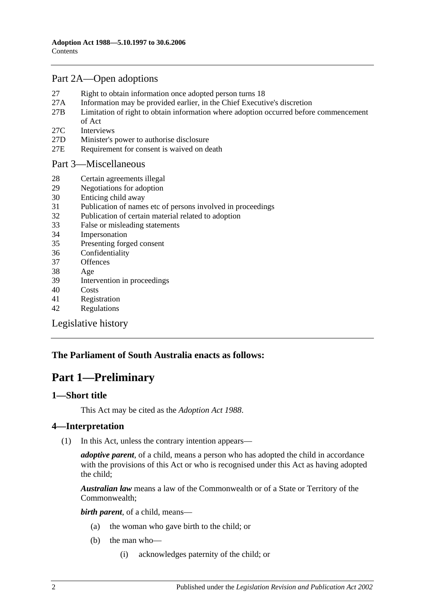#### [Part 2A—Open adoptions](#page-10-2)

- 27 [Right to obtain information once adopted person turns 18](#page-10-3)
- 27A [Information may be provided earlier, in the Chief Executive's discretion](#page-11-0)
- 27B [Limitation of right to obtain information where adoption occurred before commencement](#page-12-0)  [of Act](#page-12-0)
- 27C [Interviews](#page-13-0)
- 27D [Minister's power to authorise disclosure](#page-13-1)
- 27E [Requirement for consent is waived on death](#page-13-2)

#### [Part 3—Miscellaneous](#page-13-3)

- 28 [Certain agreements illegal](#page-13-4)
- 29 [Negotiations for adoption](#page-13-5)
- 30 [Enticing child away](#page-14-0)
- 31 [Publication of names etc of persons involved in proceedings](#page-14-1)
- 32 [Publication of certain material related to adoption](#page-14-2)
- 33 [False or misleading statements](#page-14-3)
- 34 [Impersonation](#page-15-0)
- 35 [Presenting forged consent](#page-15-1)
- 36 [Confidentiality](#page-15-2)
- 37 [Offences](#page-15-3)
- 38 [Age](#page-15-4)
- 39 [Intervention in proceedings](#page-15-5)
- 40 [Costs](#page-15-6)
- 41 [Registration](#page-16-0)
- 42 [Regulations](#page-16-1)

[Legislative history](#page-18-0)

#### <span id="page-1-0"></span>**The Parliament of South Australia enacts as follows:**

# **Part 1—Preliminary**

#### <span id="page-1-1"></span>**1—Short title**

This Act may be cited as the *Adoption Act 1988*.

#### <span id="page-1-2"></span>**4—Interpretation**

(1) In this Act, unless the contrary intention appears—

*adoptive parent*, of a child, means a person who has adopted the child in accordance with the provisions of this Act or who is recognised under this Act as having adopted the child;

*Australian law* means a law of the Commonwealth or of a State or Territory of the Commonwealth;

*birth parent*, of a child, means—

- (a) the woman who gave birth to the child; or
- (b) the man who—
	- (i) acknowledges paternity of the child; or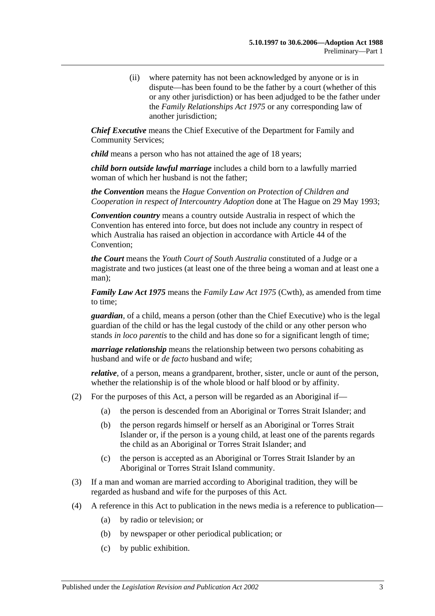(ii) where paternity has not been acknowledged by anyone or is in dispute—has been found to be the father by a court (whether of this or any other jurisdiction) or has been adjudged to be the father under the *[Family Relationships Act](http://www.legislation.sa.gov.au/index.aspx?action=legref&type=act&legtitle=Family%20Relationships%20Act%201975) 1975* or any corresponding law of another jurisdiction;

*Chief Executive* means the Chief Executive of the Department for Family and Community Services;

*child* means a person who has not attained the age of 18 years;

*child born outside lawful marriage* includes a child born to a lawfully married woman of which her husband is not the father;

*the Convention* means the *Hague Convention on Protection of Children and Cooperation in respect of Intercountry Adoption* done at The Hague on 29 May 1993;

*Convention country* means a country outside Australia in respect of which the Convention has entered into force, but does not include any country in respect of which Australia has raised an objection in accordance with Article 44 of the Convention;

*the Court* means the *Youth Court of South Australia* constituted of a Judge or a magistrate and two justices (at least one of the three being a woman and at least one a man);

*Family Law Act 1975* means the *Family Law Act 1975* (Cwth), as amended from time to time;

*guardian*, of a child, means a person (other than the Chief Executive) who is the legal guardian of the child or has the legal custody of the child or any other person who stands *in loco parentis* to the child and has done so for a significant length of time;

*marriage relationship* means the relationship between two persons cohabiting as husband and wife or *de facto* husband and wife;

*relative*, of a person, means a grandparent, brother, sister, uncle or aunt of the person, whether the relationship is of the whole blood or half blood or by affinity.

- (2) For the purposes of this Act, a person will be regarded as an Aboriginal if—
	- (a) the person is descended from an Aboriginal or Torres Strait Islander; and
	- (b) the person regards himself or herself as an Aboriginal or Torres Strait Islander or, if the person is a young child, at least one of the parents regards the child as an Aboriginal or Torres Strait Islander; and
	- (c) the person is accepted as an Aboriginal or Torres Strait Islander by an Aboriginal or Torres Strait Island community.
- (3) If a man and woman are married according to Aboriginal tradition, they will be regarded as husband and wife for the purposes of this Act.
- (4) A reference in this Act to publication in the news media is a reference to publication—
	- (a) by radio or television; or
	- (b) by newspaper or other periodical publication; or
	- (c) by public exhibition.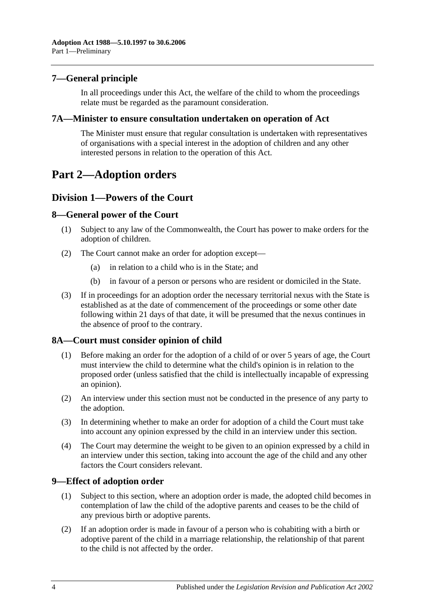#### <span id="page-3-0"></span>**7—General principle**

In all proceedings under this Act, the welfare of the child to whom the proceedings relate must be regarded as the paramount consideration.

#### <span id="page-3-1"></span>**7A—Minister to ensure consultation undertaken on operation of Act**

The Minister must ensure that regular consultation is undertaken with representatives of organisations with a special interest in the adoption of children and any other interested persons in relation to the operation of this Act.

# <span id="page-3-2"></span>**Part 2—Adoption orders**

#### <span id="page-3-3"></span>**Division 1—Powers of the Court**

#### <span id="page-3-4"></span>**8—General power of the Court**

- (1) Subject to any law of the Commonwealth, the Court has power to make orders for the adoption of children.
- (2) The Court cannot make an order for adoption except—
	- (a) in relation to a child who is in the State; and
	- (b) in favour of a person or persons who are resident or domiciled in the State.
- (3) If in proceedings for an adoption order the necessary territorial nexus with the State is established as at the date of commencement of the proceedings or some other date following within 21 days of that date, it will be presumed that the nexus continues in the absence of proof to the contrary.

#### <span id="page-3-5"></span>**8A—Court must consider opinion of child**

- (1) Before making an order for the adoption of a child of or over 5 years of age, the Court must interview the child to determine what the child's opinion is in relation to the proposed order (unless satisfied that the child is intellectually incapable of expressing an opinion).
- (2) An interview under this section must not be conducted in the presence of any party to the adoption.
- (3) In determining whether to make an order for adoption of a child the Court must take into account any opinion expressed by the child in an interview under this section.
- (4) The Court may determine the weight to be given to an opinion expressed by a child in an interview under this section, taking into account the age of the child and any other factors the Court considers relevant.

#### <span id="page-3-6"></span>**9—Effect of adoption order**

- (1) Subject to this section, where an adoption order is made, the adopted child becomes in contemplation of law the child of the adoptive parents and ceases to be the child of any previous birth or adoptive parents.
- (2) If an adoption order is made in favour of a person who is cohabiting with a birth or adoptive parent of the child in a marriage relationship, the relationship of that parent to the child is not affected by the order.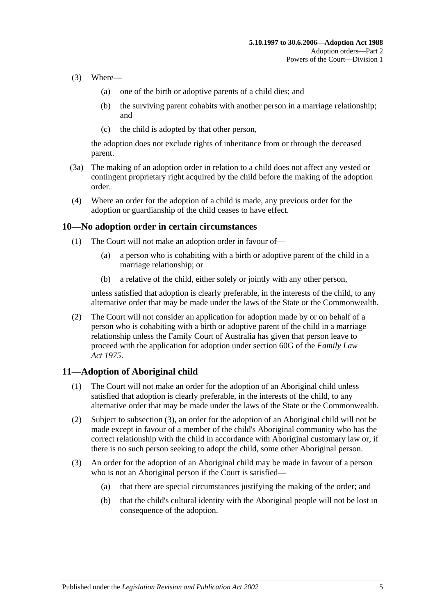- (3) Where—
	- (a) one of the birth or adoptive parents of a child dies; and
	- (b) the surviving parent cohabits with another person in a marriage relationship; and
	- (c) the child is adopted by that other person,

the adoption does not exclude rights of inheritance from or through the deceased parent.

- (3a) The making of an adoption order in relation to a child does not affect any vested or contingent proprietary right acquired by the child before the making of the adoption order.
- (4) Where an order for the adoption of a child is made, any previous order for the adoption or guardianship of the child ceases to have effect.

#### <span id="page-4-0"></span>**10—No adoption order in certain circumstances**

- (1) The Court will not make an adoption order in favour of—
	- (a) a person who is cohabiting with a birth or adoptive parent of the child in a marriage relationship; or
	- (b) a relative of the child, either solely or jointly with any other person,

unless satisfied that adoption is clearly preferable, in the interests of the child, to any alternative order that may be made under the laws of the State or the Commonwealth.

(2) The Court will not consider an application for adoption made by or on behalf of a person who is cohabiting with a birth or adoptive parent of the child in a marriage relationship unless the Family Court of Australia has given that person leave to proceed with the application for adoption under section 60G of the *Family Law Act 1975*.

#### <span id="page-4-1"></span>**11—Adoption of Aboriginal child**

- (1) The Court will not make an order for the adoption of an Aboriginal child unless satisfied that adoption is clearly preferable, in the interests of the child, to any alternative order that may be made under the laws of the State or the Commonwealth.
- (2) Subject to [subsection](#page-4-2) (3), an order for the adoption of an Aboriginal child will not be made except in favour of a member of the child's Aboriginal community who has the correct relationship with the child in accordance with Aboriginal customary law or, if there is no such person seeking to adopt the child, some other Aboriginal person.
- <span id="page-4-2"></span>(3) An order for the adoption of an Aboriginal child may be made in favour of a person who is not an Aboriginal person if the Court is satisfied—
	- (a) that there are special circumstances justifying the making of the order; and
	- (b) that the child's cultural identity with the Aboriginal people will not be lost in consequence of the adoption.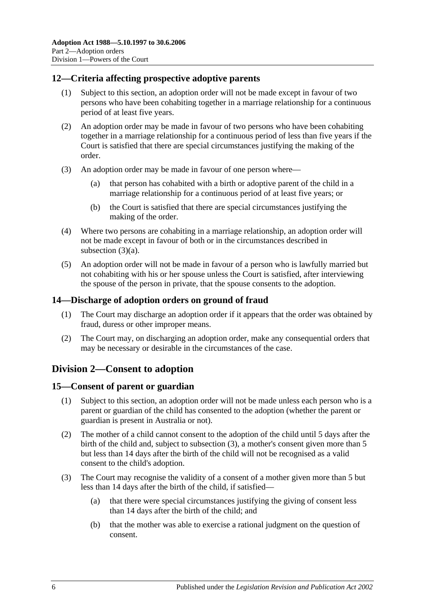#### <span id="page-5-0"></span>**12—Criteria affecting prospective adoptive parents**

- (1) Subject to this section, an adoption order will not be made except in favour of two persons who have been cohabiting together in a marriage relationship for a continuous period of at least five years.
- (2) An adoption order may be made in favour of two persons who have been cohabiting together in a marriage relationship for a continuous period of less than five years if the Court is satisfied that there are special circumstances justifying the making of the order.
- <span id="page-5-4"></span>(3) An adoption order may be made in favour of one person where—
	- (a) that person has cohabited with a birth or adoptive parent of the child in a marriage relationship for a continuous period of at least five years; or
	- (b) the Court is satisfied that there are special circumstances justifying the making of the order.
- (4) Where two persons are cohabiting in a marriage relationship, an adoption order will not be made except in favour of both or in the circumstances described in [subsection](#page-5-4) (3)(a).
- (5) An adoption order will not be made in favour of a person who is lawfully married but not cohabiting with his or her spouse unless the Court is satisfied, after interviewing the spouse of the person in private, that the spouse consents to the adoption.

#### <span id="page-5-1"></span>**14—Discharge of adoption orders on ground of fraud**

- (1) The Court may discharge an adoption order if it appears that the order was obtained by fraud, duress or other improper means.
- (2) The Court may, on discharging an adoption order, make any consequential orders that may be necessary or desirable in the circumstances of the case.

#### <span id="page-5-2"></span>**Division 2—Consent to adoption**

#### <span id="page-5-3"></span>**15—Consent of parent or guardian**

- (1) Subject to this section, an adoption order will not be made unless each person who is a parent or guardian of the child has consented to the adoption (whether the parent or guardian is present in Australia or not).
- (2) The mother of a child cannot consent to the adoption of the child until 5 days after the birth of the child and, subject to [subsection](#page-5-5) (3), a mother's consent given more than 5 but less than 14 days after the birth of the child will not be recognised as a valid consent to the child's adoption.
- <span id="page-5-5"></span>(3) The Court may recognise the validity of a consent of a mother given more than 5 but less than 14 days after the birth of the child, if satisfied—
	- (a) that there were special circumstances justifying the giving of consent less than 14 days after the birth of the child; and
	- (b) that the mother was able to exercise a rational judgment on the question of consent.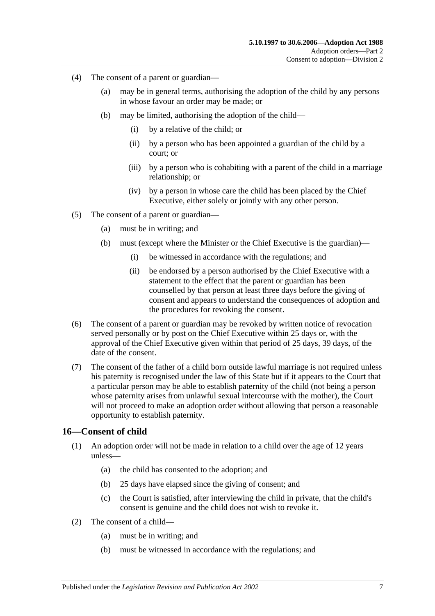- (4) The consent of a parent or guardian—
	- (a) may be in general terms, authorising the adoption of the child by any persons in whose favour an order may be made; or
	- (b) may be limited, authorising the adoption of the child—
		- (i) by a relative of the child; or
		- (ii) by a person who has been appointed a guardian of the child by a court; or
		- (iii) by a person who is cohabiting with a parent of the child in a marriage relationship; or
		- (iv) by a person in whose care the child has been placed by the Chief Executive, either solely or jointly with any other person.
- (5) The consent of a parent or guardian—
	- (a) must be in writing; and
	- (b) must (except where the Minister or the Chief Executive is the guardian)—
		- (i) be witnessed in accordance with the regulations; and
		- (ii) be endorsed by a person authorised by the Chief Executive with a statement to the effect that the parent or guardian has been counselled by that person at least three days before the giving of consent and appears to understand the consequences of adoption and the procedures for revoking the consent.
- (6) The consent of a parent or guardian may be revoked by written notice of revocation served personally or by post on the Chief Executive within 25 days or, with the approval of the Chief Executive given within that period of 25 days, 39 days, of the date of the consent.
- (7) The consent of the father of a child born outside lawful marriage is not required unless his paternity is recognised under the law of this State but if it appears to the Court that a particular person may be able to establish paternity of the child (not being a person whose paternity arises from unlawful sexual intercourse with the mother), the Court will not proceed to make an adoption order without allowing that person a reasonable opportunity to establish paternity.

#### <span id="page-6-0"></span>**16—Consent of child**

- (1) An adoption order will not be made in relation to a child over the age of 12 years unless—
	- (a) the child has consented to the adoption; and
	- (b) 25 days have elapsed since the giving of consent; and
	- (c) the Court is satisfied, after interviewing the child in private, that the child's consent is genuine and the child does not wish to revoke it.
- (2) The consent of a child—
	- (a) must be in writing; and
	- (b) must be witnessed in accordance with the regulations; and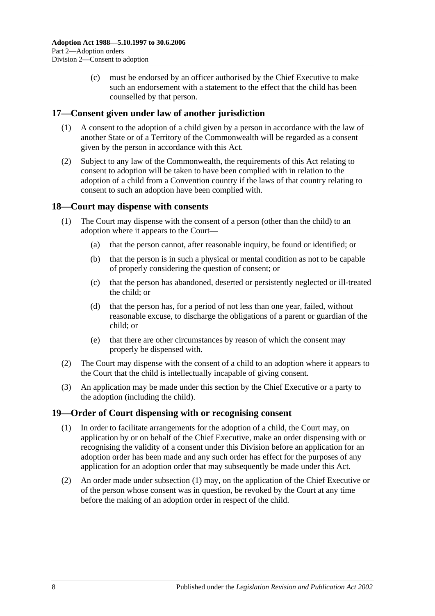(c) must be endorsed by an officer authorised by the Chief Executive to make such an endorsement with a statement to the effect that the child has been counselled by that person.

#### <span id="page-7-0"></span>**17—Consent given under law of another jurisdiction**

- (1) A consent to the adoption of a child given by a person in accordance with the law of another State or of a Territory of the Commonwealth will be regarded as a consent given by the person in accordance with this Act.
- (2) Subject to any law of the Commonwealth, the requirements of this Act relating to consent to adoption will be taken to have been complied with in relation to the adoption of a child from a Convention country if the laws of that country relating to consent to such an adoption have been complied with.

#### <span id="page-7-1"></span>**18—Court may dispense with consents**

- (1) The Court may dispense with the consent of a person (other than the child) to an adoption where it appears to the Court—
	- (a) that the person cannot, after reasonable inquiry, be found or identified; or
	- (b) that the person is in such a physical or mental condition as not to be capable of properly considering the question of consent; or
	- (c) that the person has abandoned, deserted or persistently neglected or ill-treated the child; or
	- (d) that the person has, for a period of not less than one year, failed, without reasonable excuse, to discharge the obligations of a parent or guardian of the child; or
	- (e) that there are other circumstances by reason of which the consent may properly be dispensed with.
- (2) The Court may dispense with the consent of a child to an adoption where it appears to the Court that the child is intellectually incapable of giving consent.
- (3) An application may be made under this section by the Chief Executive or a party to the adoption (including the child).

#### <span id="page-7-3"></span><span id="page-7-2"></span>**19—Order of Court dispensing with or recognising consent**

- (1) In order to facilitate arrangements for the adoption of a child, the Court may, on application by or on behalf of the Chief Executive, make an order dispensing with or recognising the validity of a consent under this Division before an application for an adoption order has been made and any such order has effect for the purposes of any application for an adoption order that may subsequently be made under this Act.
- (2) An order made under [subsection](#page-7-3) (1) may, on the application of the Chief Executive or of the person whose consent was in question, be revoked by the Court at any time before the making of an adoption order in respect of the child.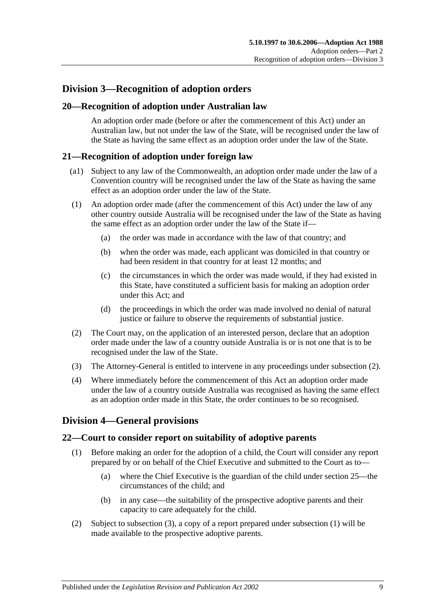### <span id="page-8-0"></span>**Division 3—Recognition of adoption orders**

#### <span id="page-8-1"></span>**20—Recognition of adoption under Australian law**

An adoption order made (before or after the commencement of this Act) under an Australian law, but not under the law of the State, will be recognised under the law of the State as having the same effect as an adoption order under the law of the State.

#### <span id="page-8-2"></span>**21—Recognition of adoption under foreign law**

- (a1) Subject to any law of the Commonwealth, an adoption order made under the law of a Convention country will be recognised under the law of the State as having the same effect as an adoption order under the law of the State.
- (1) An adoption order made (after the commencement of this Act) under the law of any other country outside Australia will be recognised under the law of the State as having the same effect as an adoption order under the law of the State if—
	- (a) the order was made in accordance with the law of that country; and
	- (b) when the order was made, each applicant was domiciled in that country or had been resident in that country for at least 12 months; and
	- (c) the circumstances in which the order was made would, if they had existed in this State, have constituted a sufficient basis for making an adoption order under this Act; and
	- (d) the proceedings in which the order was made involved no denial of natural justice or failure to observe the requirements of substantial justice.
- <span id="page-8-5"></span>(2) The Court may, on the application of an interested person, declare that an adoption order made under the law of a country outside Australia is or is not one that is to be recognised under the law of the State.
- (3) The Attorney-General is entitled to intervene in any proceedings under [subsection](#page-8-5) (2).
- (4) Where immediately before the commencement of this Act an adoption order made under the law of a country outside Australia was recognised as having the same effect as an adoption order made in this State, the order continues to be so recognised.

#### <span id="page-8-3"></span>**Division 4—General provisions**

#### <span id="page-8-6"></span><span id="page-8-4"></span>**22—Court to consider report on suitability of adoptive parents**

- (1) Before making an order for the adoption of a child, the Court will consider any report prepared by or on behalf of the Chief Executive and submitted to the Court as to—
	- (a) where the Chief Executive is the guardian of the child under [section](#page-9-2) 25—the circumstances of the child; and
	- (b) in any case—the suitability of the prospective adoptive parents and their capacity to care adequately for the child.
- (2) Subject to [subsection](#page-9-3) (3), a copy of a report prepared under [subsection](#page-8-6) (1) will be made available to the prospective adoptive parents.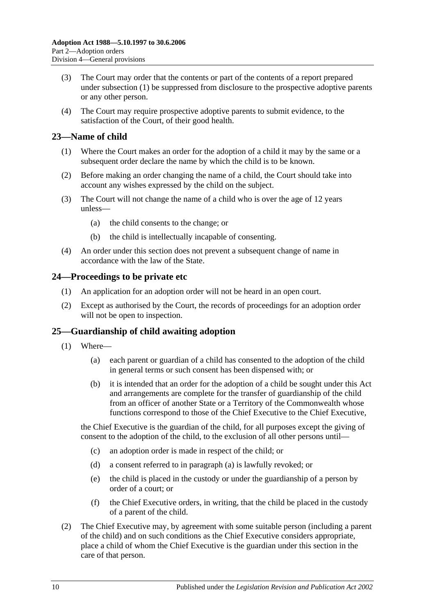- <span id="page-9-3"></span>(3) The Court may order that the contents or part of the contents of a report prepared under [subsection](#page-8-6) (1) be suppressed from disclosure to the prospective adoptive parents or any other person.
- (4) The Court may require prospective adoptive parents to submit evidence, to the satisfaction of the Court, of their good health.

#### <span id="page-9-0"></span>**23—Name of child**

- (1) Where the Court makes an order for the adoption of a child it may by the same or a subsequent order declare the name by which the child is to be known.
- (2) Before making an order changing the name of a child, the Court should take into account any wishes expressed by the child on the subject.
- (3) The Court will not change the name of a child who is over the age of 12 years unless—
	- (a) the child consents to the change; or
	- (b) the child is intellectually incapable of consenting.
- (4) An order under this section does not prevent a subsequent change of name in accordance with the law of the State.

#### <span id="page-9-1"></span>**24—Proceedings to be private etc**

- (1) An application for an adoption order will not be heard in an open court.
- (2) Except as authorised by the Court, the records of proceedings for an adoption order will not be open to inspection.

#### <span id="page-9-2"></span>**25—Guardianship of child awaiting adoption**

- <span id="page-9-4"></span>(1) Where—
	- (a) each parent or guardian of a child has consented to the adoption of the child in general terms or such consent has been dispensed with; or
	- (b) it is intended that an order for the adoption of a child be sought under this Act and arrangements are complete for the transfer of guardianship of the child from an officer of another State or a Territory of the Commonwealth whose functions correspond to those of the Chief Executive to the Chief Executive,

the Chief Executive is the guardian of the child, for all purposes except the giving of consent to the adoption of the child, to the exclusion of all other persons until—

- (c) an adoption order is made in respect of the child; or
- (d) a consent referred to in [paragraph](#page-9-4) (a) is lawfully revoked; or
- (e) the child is placed in the custody or under the guardianship of a person by order of a court; or
- (f) the Chief Executive orders, in writing, that the child be placed in the custody of a parent of the child.
- (2) The Chief Executive may, by agreement with some suitable person (including a parent of the child) and on such conditions as the Chief Executive considers appropriate, place a child of whom the Chief Executive is the guardian under this section in the care of that person.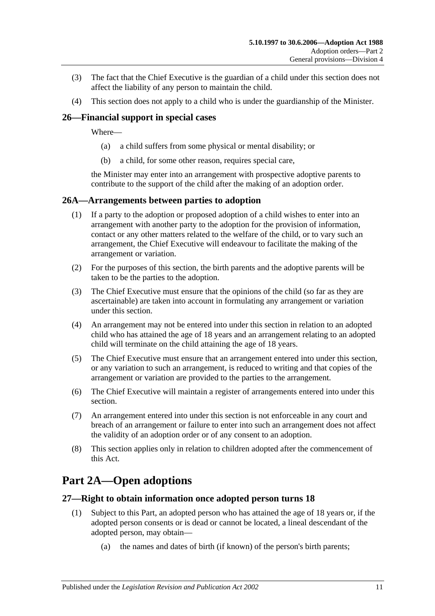- (3) The fact that the Chief Executive is the guardian of a child under this section does not affect the liability of any person to maintain the child.
- (4) This section does not apply to a child who is under the guardianship of the Minister.

#### <span id="page-10-0"></span>**26—Financial support in special cases**

Where—

- (a) a child suffers from some physical or mental disability; or
- (b) a child, for some other reason, requires special care,

the Minister may enter into an arrangement with prospective adoptive parents to contribute to the support of the child after the making of an adoption order.

#### <span id="page-10-1"></span>**26A—Arrangements between parties to adoption**

- (1) If a party to the adoption or proposed adoption of a child wishes to enter into an arrangement with another party to the adoption for the provision of information, contact or any other matters related to the welfare of the child, or to vary such an arrangement, the Chief Executive will endeavour to facilitate the making of the arrangement or variation.
- (2) For the purposes of this section, the birth parents and the adoptive parents will be taken to be the parties to the adoption.
- (3) The Chief Executive must ensure that the opinions of the child (so far as they are ascertainable) are taken into account in formulating any arrangement or variation under this section.
- (4) An arrangement may not be entered into under this section in relation to an adopted child who has attained the age of 18 years and an arrangement relating to an adopted child will terminate on the child attaining the age of 18 years.
- (5) The Chief Executive must ensure that an arrangement entered into under this section, or any variation to such an arrangement, is reduced to writing and that copies of the arrangement or variation are provided to the parties to the arrangement.
- (6) The Chief Executive will maintain a register of arrangements entered into under this section.
- (7) An arrangement entered into under this section is not enforceable in any court and breach of an arrangement or failure to enter into such an arrangement does not affect the validity of an adoption order or of any consent to an adoption.
- (8) This section applies only in relation to children adopted after the commencement of this Act.

# <span id="page-10-2"></span>**Part 2A—Open adoptions**

#### <span id="page-10-3"></span>**27—Right to obtain information once adopted person turns 18**

- (1) Subject to this Part, an adopted person who has attained the age of 18 years or, if the adopted person consents or is dead or cannot be located, a lineal descendant of the adopted person, may obtain—
	- (a) the names and dates of birth (if known) of the person's birth parents;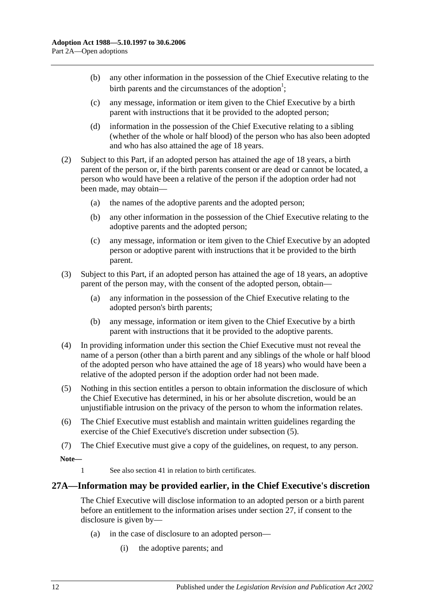- (b) any other information in the possession of the Chief Executive relating to the birth parents and the circumstances of the adoption<sup>1</sup>;
- (c) any message, information or item given to the Chief Executive by a birth parent with instructions that it be provided to the adopted person;
- (d) information in the possession of the Chief Executive relating to a sibling (whether of the whole or half blood) of the person who has also been adopted and who has also attained the age of 18 years.
- (2) Subject to this Part, if an adopted person has attained the age of 18 years, a birth parent of the person or, if the birth parents consent or are dead or cannot be located, a person who would have been a relative of the person if the adoption order had not been made, may obtain—
	- (a) the names of the adoptive parents and the adopted person;
	- (b) any other information in the possession of the Chief Executive relating to the adoptive parents and the adopted person;
	- (c) any message, information or item given to the Chief Executive by an adopted person or adoptive parent with instructions that it be provided to the birth parent.
- (3) Subject to this Part, if an adopted person has attained the age of 18 years, an adoptive parent of the person may, with the consent of the adopted person, obtain—
	- (a) any information in the possession of the Chief Executive relating to the adopted person's birth parents;
	- (b) any message, information or item given to the Chief Executive by a birth parent with instructions that it be provided to the adoptive parents.
- (4) In providing information under this section the Chief Executive must not reveal the name of a person (other than a birth parent and any siblings of the whole or half blood of the adopted person who have attained the age of 18 years) who would have been a relative of the adopted person if the adoption order had not been made.
- <span id="page-11-1"></span>(5) Nothing in this section entitles a person to obtain information the disclosure of which the Chief Executive has determined, in his or her absolute discretion, would be an unjustifiable intrusion on the privacy of the person to whom the information relates.
- (6) The Chief Executive must establish and maintain written guidelines regarding the exercise of the Chief Executive's discretion under [subsection](#page-11-1) (5).
- (7) The Chief Executive must give a copy of the guidelines, on request, to any person.

**Note—**

1 See also [section](#page-16-0) 41 in relation to birth certificates.

#### <span id="page-11-0"></span>**27A—Information may be provided earlier, in the Chief Executive's discretion**

The Chief Executive will disclose information to an adopted person or a birth parent before an entitlement to the information arises under [section](#page-10-3) 27, if consent to the disclosure is given by—

- (a) in the case of disclosure to an adopted person—
	- (i) the adoptive parents; and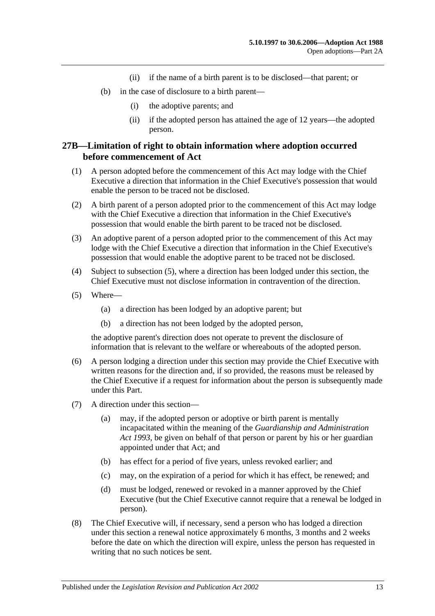- (ii) if the name of a birth parent is to be disclosed—that parent; or
- (b) in the case of disclosure to a birth parent—
	- (i) the adoptive parents; and
	- (ii) if the adopted person has attained the age of 12 years—the adopted person.

#### <span id="page-12-0"></span>**27B—Limitation of right to obtain information where adoption occurred before commencement of Act**

- (1) A person adopted before the commencement of this Act may lodge with the Chief Executive a direction that information in the Chief Executive's possession that would enable the person to be traced not be disclosed.
- (2) A birth parent of a person adopted prior to the commencement of this Act may lodge with the Chief Executive a direction that information in the Chief Executive's possession that would enable the birth parent to be traced not be disclosed.
- (3) An adoptive parent of a person adopted prior to the commencement of this Act may lodge with the Chief Executive a direction that information in the Chief Executive's possession that would enable the adoptive parent to be traced not be disclosed.
- (4) Subject to [subsection](#page-12-1) (5), where a direction has been lodged under this section, the Chief Executive must not disclose information in contravention of the direction.
- <span id="page-12-1"></span>(5) Where—
	- (a) a direction has been lodged by an adoptive parent; but
	- (b) a direction has not been lodged by the adopted person,

the adoptive parent's direction does not operate to prevent the disclosure of information that is relevant to the welfare or whereabouts of the adopted person.

- (6) A person lodging a direction under this section may provide the Chief Executive with written reasons for the direction and, if so provided, the reasons must be released by the Chief Executive if a request for information about the person is subsequently made under this Part.
- (7) A direction under this section—
	- (a) may, if the adopted person or adoptive or birth parent is mentally incapacitated within the meaning of the *[Guardianship and Administration](http://www.legislation.sa.gov.au/index.aspx?action=legref&type=act&legtitle=Guardianship%20and%20Administration%20Act%201993)  Act [1993](http://www.legislation.sa.gov.au/index.aspx?action=legref&type=act&legtitle=Guardianship%20and%20Administration%20Act%201993)*, be given on behalf of that person or parent by his or her guardian appointed under that Act; and
	- (b) has effect for a period of five years, unless revoked earlier; and
	- (c) may, on the expiration of a period for which it has effect, be renewed; and
	- (d) must be lodged, renewed or revoked in a manner approved by the Chief Executive (but the Chief Executive cannot require that a renewal be lodged in person).
- (8) The Chief Executive will, if necessary, send a person who has lodged a direction under this section a renewal notice approximately 6 months, 3 months and 2 weeks before the date on which the direction will expire, unless the person has requested in writing that no such notices be sent.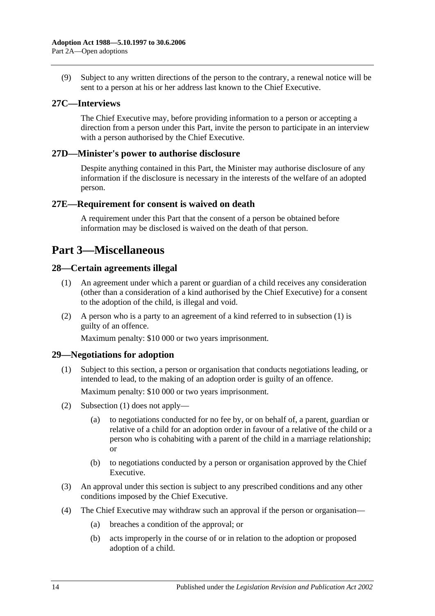(9) Subject to any written directions of the person to the contrary, a renewal notice will be sent to a person at his or her address last known to the Chief Executive.

#### <span id="page-13-0"></span>**27C—Interviews**

The Chief Executive may, before providing information to a person or accepting a direction from a person under this Part, invite the person to participate in an interview with a person authorised by the Chief Executive.

#### <span id="page-13-1"></span>**27D—Minister's power to authorise disclosure**

Despite anything contained in this Part, the Minister may authorise disclosure of any information if the disclosure is necessary in the interests of the welfare of an adopted person.

#### <span id="page-13-2"></span>**27E—Requirement for consent is waived on death**

A requirement under this Part that the consent of a person be obtained before information may be disclosed is waived on the death of that person.

# <span id="page-13-3"></span>**Part 3—Miscellaneous**

#### <span id="page-13-6"></span><span id="page-13-4"></span>**28—Certain agreements illegal**

- (1) An agreement under which a parent or guardian of a child receives any consideration (other than a consideration of a kind authorised by the Chief Executive) for a consent to the adoption of the child, is illegal and void.
- (2) A person who is a party to an agreement of a kind referred to in [subsection](#page-13-6) (1) is guilty of an offence.

Maximum penalty: \$10 000 or two years imprisonment.

#### <span id="page-13-7"></span><span id="page-13-5"></span>**29—Negotiations for adoption**

(1) Subject to this section, a person or organisation that conducts negotiations leading, or intended to lead, to the making of an adoption order is guilty of an offence.

Maximum penalty: \$10 000 or two years imprisonment.

- (2) [Subsection](#page-13-7) (1) does not apply—
	- (a) to negotiations conducted for no fee by, or on behalf of, a parent, guardian or relative of a child for an adoption order in favour of a relative of the child or a person who is cohabiting with a parent of the child in a marriage relationship; or
	- (b) to negotiations conducted by a person or organisation approved by the Chief Executive.
- (3) An approval under this section is subject to any prescribed conditions and any other conditions imposed by the Chief Executive.
- <span id="page-13-8"></span>(4) The Chief Executive may withdraw such an approval if the person or organisation—
	- (a) breaches a condition of the approval; or
	- (b) acts improperly in the course of or in relation to the adoption or proposed adoption of a child.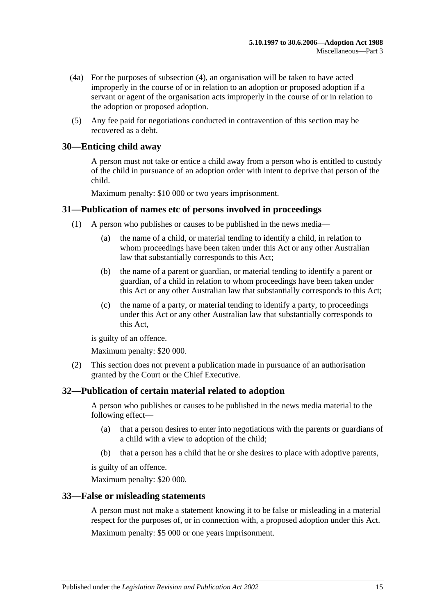- (4a) For the purposes of [subsection](#page-13-8) (4), an organisation will be taken to have acted improperly in the course of or in relation to an adoption or proposed adoption if a servant or agent of the organisation acts improperly in the course of or in relation to the adoption or proposed adoption.
- (5) Any fee paid for negotiations conducted in contravention of this section may be recovered as a debt.

#### <span id="page-14-0"></span>**30—Enticing child away**

A person must not take or entice a child away from a person who is entitled to custody of the child in pursuance of an adoption order with intent to deprive that person of the child.

Maximum penalty: \$10 000 or two years imprisonment.

#### <span id="page-14-1"></span>**31—Publication of names etc of persons involved in proceedings**

- (1) A person who publishes or causes to be published in the news media—
	- (a) the name of a child, or material tending to identify a child, in relation to whom proceedings have been taken under this Act or any other Australian law that substantially corresponds to this Act;
	- (b) the name of a parent or guardian, or material tending to identify a parent or guardian, of a child in relation to whom proceedings have been taken under this Act or any other Australian law that substantially corresponds to this Act;
	- (c) the name of a party, or material tending to identify a party, to proceedings under this Act or any other Australian law that substantially corresponds to this Act,

is guilty of an offence.

Maximum penalty: \$20 000.

(2) This section does not prevent a publication made in pursuance of an authorisation granted by the Court or the Chief Executive.

#### <span id="page-14-2"></span>**32—Publication of certain material related to adoption**

A person who publishes or causes to be published in the news media material to the following effect—

- (a) that a person desires to enter into negotiations with the parents or guardians of a child with a view to adoption of the child;
- (b) that a person has a child that he or she desires to place with adoptive parents,

is guilty of an offence.

Maximum penalty: \$20 000.

#### <span id="page-14-3"></span>**33—False or misleading statements**

A person must not make a statement knowing it to be false or misleading in a material respect for the purposes of, or in connection with, a proposed adoption under this Act. Maximum penalty: \$5 000 or one years imprisonment.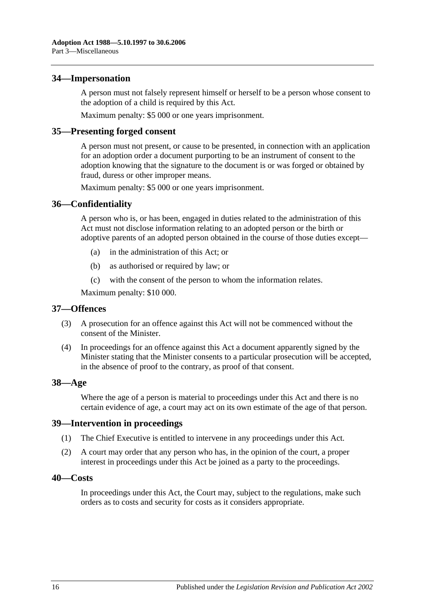#### <span id="page-15-0"></span>**34—Impersonation**

A person must not falsely represent himself or herself to be a person whose consent to the adoption of a child is required by this Act.

Maximum penalty: \$5 000 or one years imprisonment.

#### <span id="page-15-1"></span>**35—Presenting forged consent**

A person must not present, or cause to be presented, in connection with an application for an adoption order a document purporting to be an instrument of consent to the adoption knowing that the signature to the document is or was forged or obtained by fraud, duress or other improper means.

Maximum penalty: \$5 000 or one years imprisonment.

#### <span id="page-15-2"></span>**36—Confidentiality**

A person who is, or has been, engaged in duties related to the administration of this Act must not disclose information relating to an adopted person or the birth or adoptive parents of an adopted person obtained in the course of those duties except—

- (a) in the administration of this Act; or
- (b) as authorised or required by law; or
- (c) with the consent of the person to whom the information relates.

Maximum penalty: \$10 000.

#### <span id="page-15-3"></span>**37—Offences**

- (3) A prosecution for an offence against this Act will not be commenced without the consent of the Minister.
- (4) In proceedings for an offence against this Act a document apparently signed by the Minister stating that the Minister consents to a particular prosecution will be accepted, in the absence of proof to the contrary, as proof of that consent.

#### <span id="page-15-4"></span>**38—Age**

Where the age of a person is material to proceedings under this Act and there is no certain evidence of age, a court may act on its own estimate of the age of that person.

#### <span id="page-15-5"></span>**39—Intervention in proceedings**

- (1) The Chief Executive is entitled to intervene in any proceedings under this Act.
- (2) A court may order that any person who has, in the opinion of the court, a proper interest in proceedings under this Act be joined as a party to the proceedings.

#### <span id="page-15-6"></span>**40—Costs**

In proceedings under this Act, the Court may, subject to the regulations, make such orders as to costs and security for costs as it considers appropriate.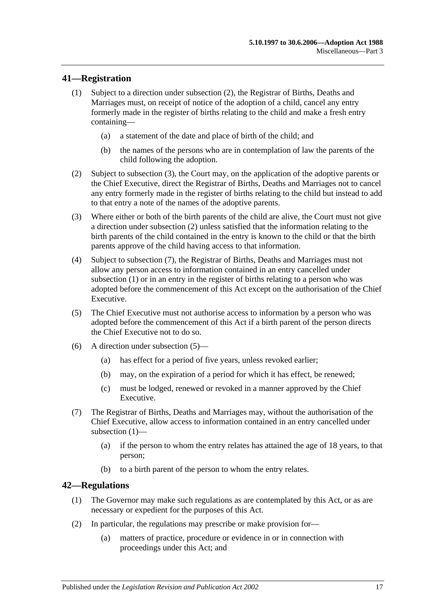#### <span id="page-16-5"></span><span id="page-16-0"></span>**41—Registration**

- (1) Subject to a direction under [subsection](#page-16-2) (2), the Registrar of Births, Deaths and Marriages must, on receipt of notice of the adoption of a child, cancel any entry formerly made in the register of births relating to the child and make a fresh entry containing—
	- (a) a statement of the date and place of birth of the child; and
	- (b) the names of the persons who are in contemplation of law the parents of the child following the adoption.
- <span id="page-16-2"></span>(2) Subject to [subsection](#page-16-3) (3), the Court may, on the application of the adoptive parents or the Chief Executive, direct the Registrar of Births, Deaths and Marriages not to cancel any entry formerly made in the register of births relating to the child but instead to add to that entry a note of the names of the adoptive parents.
- <span id="page-16-3"></span>(3) Where either or both of the birth parents of the child are alive, the Court must not give a direction under [subsection](#page-16-2) (2) unless satisfied that the information relating to the birth parents of the child contained in the entry is known to the child or that the birth parents approve of the child having access to that information.
- (4) Subject to [subsection](#page-16-4) (7), the Registrar of Births, Deaths and Marriages must not allow any person access to information contained in an entry cancelled under [subsection](#page-16-5) (1) or in an entry in the register of births relating to a person who was adopted before the commencement of this Act except on the authorisation of the Chief Executive.
- <span id="page-16-6"></span>(5) The Chief Executive must not authorise access to information by a person who was adopted before the commencement of this Act if a birth parent of the person directs the Chief Executive not to do so.
- (6) A direction under [subsection](#page-16-6) (5)—
	- (a) has effect for a period of five years, unless revoked earlier;
	- (b) may, on the expiration of a period for which it has effect, be renewed;
	- (c) must be lodged, renewed or revoked in a manner approved by the Chief Executive.
- <span id="page-16-4"></span>(7) The Registrar of Births, Deaths and Marriages may, without the authorisation of the Chief Executive, allow access to information contained in an entry cancelled under [subsection](#page-16-5) (1)—
	- (a) if the person to whom the entry relates has attained the age of 18 years, to that person;
	- (b) to a birth parent of the person to whom the entry relates.

#### <span id="page-16-1"></span>**42—Regulations**

- (1) The Governor may make such regulations as are contemplated by this Act, or as are necessary or expedient for the purposes of this Act.
- (2) In particular, the regulations may prescribe or make provision for—
	- (a) matters of practice, procedure or evidence in or in connection with proceedings under this Act; and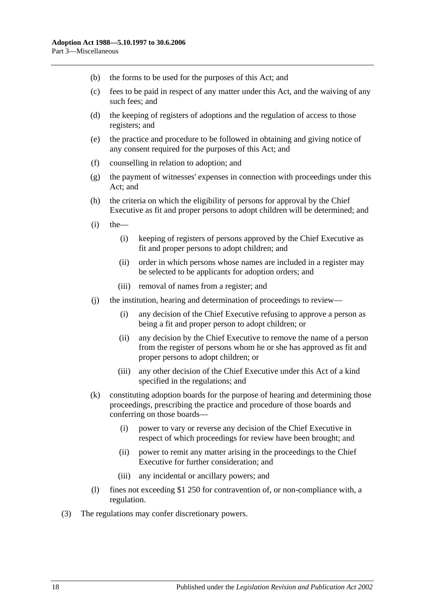- (b) the forms to be used for the purposes of this Act; and
- (c) fees to be paid in respect of any matter under this Act, and the waiving of any such fees; and
- (d) the keeping of registers of adoptions and the regulation of access to those registers; and
- (e) the practice and procedure to be followed in obtaining and giving notice of any consent required for the purposes of this Act; and
- (f) counselling in relation to adoption; and
- (g) the payment of witnesses' expenses in connection with proceedings under this Act; and
- (h) the criteria on which the eligibility of persons for approval by the Chief Executive as fit and proper persons to adopt children will be determined; and
- $(i)$  the
	- (i) keeping of registers of persons approved by the Chief Executive as fit and proper persons to adopt children; and
	- (ii) order in which persons whose names are included in a register may be selected to be applicants for adoption orders; and
	- (iii) removal of names from a register; and
- (j) the institution, hearing and determination of proceedings to review—
	- (i) any decision of the Chief Executive refusing to approve a person as being a fit and proper person to adopt children; or
	- (ii) any decision by the Chief Executive to remove the name of a person from the register of persons whom he or she has approved as fit and proper persons to adopt children; or
	- (iii) any other decision of the Chief Executive under this Act of a kind specified in the regulations; and
- (k) constituting adoption boards for the purpose of hearing and determining those proceedings, prescribing the practice and procedure of those boards and conferring on those boards—
	- (i) power to vary or reverse any decision of the Chief Executive in respect of which proceedings for review have been brought; and
	- (ii) power to remit any matter arising in the proceedings to the Chief Executive for further consideration; and
	- (iii) any incidental or ancillary powers; and
- (l) fines not exceeding \$1 250 for contravention of, or non-compliance with, a regulation.
- (3) The regulations may confer discretionary powers.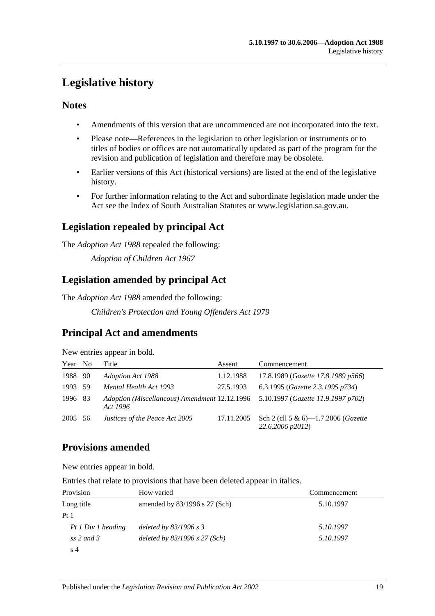# <span id="page-18-0"></span>**Legislative history**

#### **Notes**

- Amendments of this version that are uncommenced are not incorporated into the text.
- Please note—References in the legislation to other legislation or instruments or to titles of bodies or offices are not automatically updated as part of the program for the revision and publication of legislation and therefore may be obsolete.
- Earlier versions of this Act (historical versions) are listed at the end of the legislative history.
- For further information relating to the Act and subordinate legislation made under the Act see the Index of South Australian Statutes or www.legislation.sa.gov.au.

### **Legislation repealed by principal Act**

The *Adoption Act 1988* repealed the following:

*Adoption of Children Act 1967*

### **Legislation amended by principal Act**

The *Adoption Act 1988* amended the following:

*Children's Protection and Young Offenders Act 1979*

### **Principal Act and amendments**

New entries appear in bold.

| Year No | Title                                                                                        | Assent     | Commencement                                            |
|---------|----------------------------------------------------------------------------------------------|------------|---------------------------------------------------------|
| 1988 90 | Adoption Act 1988                                                                            | 1.12.1988  | 17.8.1989 (Gazette 17.8.1989 p566)                      |
| 1993 59 | Mental Health Act 1993                                                                       | 27.5.1993  | 6.3.1995 ( <i>Gazette 2.3.1995 p734</i> )               |
| 1996 83 | Adoption (Miscellaneous) Amendment 12.12.1996 5.10.1997 (Gazette 11.9.1997 p702)<br>Act 1996 |            |                                                         |
| 2005 56 | Justices of the Peace Act 2005                                                               | 17.11.2005 | Sch 2 (cll 5 & 6)-1.7.2006 (Gazette<br>22.6.2006 p2012) |

### **Provisions amended**

New entries appear in bold.

Entries that relate to provisions that have been deleted appear in italics.

| Provision          | How varied                        | Commencement |
|--------------------|-----------------------------------|--------------|
| Long title         | amended by $83/1996$ s 27 (Sch)   | 5.10.1997    |
| Pt1                |                                   |              |
| Pt 1 Div 1 heading | deleted by $83/1996$ s 3          | 5.10.1997    |
| ss 2 and 3         | deleted by $83/1996$ s $27$ (Sch) | 5.10.1997    |
| s 4                |                                   |              |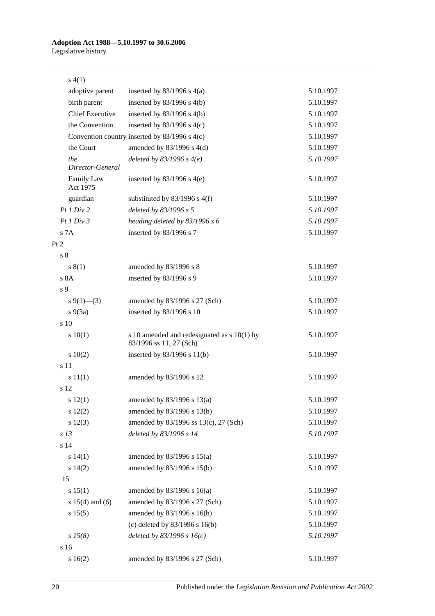| s(4(1))                 |                                                                          |           |
|-------------------------|--------------------------------------------------------------------------|-----------|
| adoptive parent         | inserted by $83/1996$ s $4(a)$                                           | 5.10.1997 |
| birth parent            | inserted by $83/1996$ s 4(b)                                             | 5.10.1997 |
| <b>Chief Executive</b>  | inserted by $83/1996$ s $4(b)$                                           | 5.10.1997 |
| the Convention          | inserted by $83/1996$ s 4(c)                                             | 5.10.1997 |
|                         | Convention country inserted by 83/1996 s 4(c)                            | 5.10.1997 |
| the Court               | amended by 83/1996 s 4(d)                                                | 5.10.1997 |
| the<br>Director-General | deleted by $83/1996$ s $4(e)$                                            | 5.10.1997 |
| Family Law<br>Act 1975  | inserted by $83/1996$ s 4(e)                                             | 5.10.1997 |
| guardian                | substituted by $83/1996$ s 4(f)                                          | 5.10.1997 |
| Pt1 Div2                | deleted by 83/1996 s 5                                                   | 5.10.1997 |
| Pt1 Div3                | heading deleted by 83/1996 s 6                                           | 5.10.1997 |
| s 7A                    | inserted by 83/1996 s 7                                                  | 5.10.1997 |
| Pt 2                    |                                                                          |           |
| s <sub>8</sub>          |                                                                          |           |
| s(1)                    | amended by 83/1996 s 8                                                   | 5.10.1997 |
| s 8A                    | inserted by 83/1996 s 9                                                  | 5.10.1997 |
| s 9                     |                                                                          |           |
| $s \ 9(1)$ —(3)         | amended by 83/1996 s 27 (Sch)                                            | 5.10.1997 |
| $s\ 9(3a)$              | inserted by 83/1996 s 10                                                 | 5.10.1997 |
| s 10                    |                                                                          |           |
| 10(1)                   | s 10 amended and redesignated as $s$ 10(1) by<br>83/1996 ss 11, 27 (Sch) | 5.10.1997 |
| 10(2)                   | inserted by $83/1996$ s $11(b)$                                          | 5.10.1997 |
| s 11                    |                                                                          |           |
| s 11(1)                 | amended by 83/1996 s 12                                                  | 5.10.1997 |
| s 12                    |                                                                          |           |
| s12(1)                  | amended by $83/1996$ s $13(a)$                                           | 5.10.1997 |
| 12(2)                   | amended by 83/1996 s 13(b)                                               | 5.10.1997 |
| s 12(3)                 | amended by 83/1996 ss 13(c), 27 (Sch)                                    | 5.10.1997 |
| s <sub>13</sub>         | deleted by 83/1996 s 14                                                  | 5.10.1997 |
| s 14                    |                                                                          |           |
| s 14(1)                 | amended by $83/1996$ s $15(a)$                                           | 5.10.1997 |
| s 14(2)                 | amended by 83/1996 s 15(b)                                               | 5.10.1997 |
| 15                      |                                                                          |           |
| s 15(1)                 | amended by $83/1996$ s $16(a)$                                           | 5.10.1997 |
| s $15(4)$ and $(6)$     | amended by 83/1996 s 27 (Sch)                                            | 5.10.1997 |
| s 15(5)                 | amended by 83/1996 s 16(b)                                               | 5.10.1997 |
|                         | (c) deleted by $83/1996$ s $16(b)$                                       | 5.10.1997 |
| $s\,15(8)$              | deleted by $83/1996 s 16(c)$                                             | 5.10.1997 |
| s 16                    |                                                                          |           |
| s 16(2)                 | amended by 83/1996 s 27 (Sch)                                            | 5.10.1997 |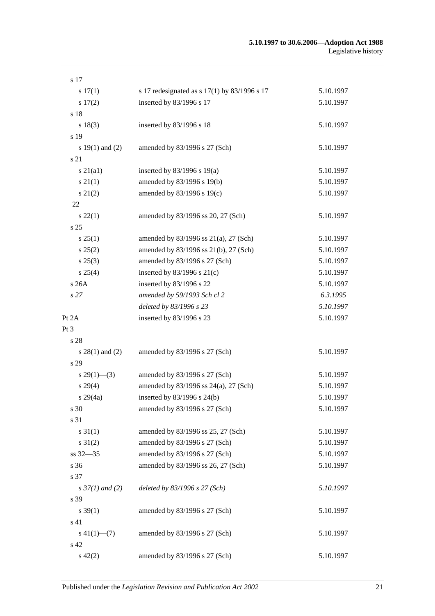| s 17                     |                                                |           |
|--------------------------|------------------------------------------------|-----------|
| s 17(1)                  | s 17 redesignated as s $17(1)$ by 83/1996 s 17 | 5.10.1997 |
| s 17(2)                  | inserted by 83/1996 s 17                       | 5.10.1997 |
| s 18                     |                                                |           |
| s 18(3)                  | inserted by 83/1996 s 18                       | 5.10.1997 |
| s 19                     |                                                |           |
| s $19(1)$ and $(2)$      | amended by 83/1996 s 27 (Sch)                  | 5.10.1997 |
| s 21                     |                                                |           |
| $s\ 21(a1)$              | inserted by $83/1996$ s $19(a)$                | 5.10.1997 |
| $s \, 21(1)$             | amended by 83/1996 s 19(b)                     | 5.10.1997 |
| $s\ 21(2)$               | amended by 83/1996 s 19(c)                     | 5.10.1997 |
| 22                       |                                                |           |
| $s\,22(1)$               | amended by 83/1996 ss 20, 27 (Sch)             | 5.10.1997 |
| s <sub>25</sub>          |                                                |           |
| s 25(1)                  | amended by 83/1996 ss 21(a), 27 (Sch)          | 5.10.1997 |
| s 25(2)                  | amended by 83/1996 ss 21(b), 27 (Sch)          | 5.10.1997 |
| $s\,25(3)$               | amended by 83/1996 s 27 (Sch)                  | 5.10.1997 |
| s 25(4)                  | inserted by $83/1996$ s $21(c)$                | 5.10.1997 |
| s 26A                    | inserted by 83/1996 s 22                       | 5.10.1997 |
| s27                      | amended by 59/1993 Sch cl 2                    | 6.3.1995  |
|                          | deleted by 83/1996 s 23                        | 5.10.1997 |
| Pt 2A                    | inserted by 83/1996 s 23                       | 5.10.1997 |
| Pt 3                     |                                                |           |
| s 28                     |                                                |           |
| $s$ 28(1) and (2)        | amended by 83/1996 s 27 (Sch)                  | 5.10.1997 |
| s 29                     |                                                |           |
| $s\,29(1)$ —(3)          | amended by 83/1996 s 27 (Sch)                  | 5.10.1997 |
| $s\,29(4)$               | amended by 83/1996 ss 24(a), 27 (Sch)          | 5.10.1997 |
| $s\,29(4a)$              | inserted by 83/1996 s 24(b)                    | 5.10.1997 |
| s 30                     | amended by 83/1996 s 27 (Sch)                  | 5.10.1997 |
| s 31                     |                                                |           |
| $s \, 31(1)$             | amended by 83/1996 ss 25, 27 (Sch)             | 5.10.1997 |
| $s \, 31(2)$             | amended by 83/1996 s 27 (Sch)                  | 5.10.1997 |
| ss 32-35                 | amended by 83/1996 s 27 (Sch)                  | 5.10.1997 |
| s 36                     | amended by 83/1996 ss 26, 27 (Sch)             | 5.10.1997 |
| s 37                     |                                                |           |
| $s \frac{37}{1}$ and (2) | deleted by 83/1996 s 27 (Sch)                  | 5.10.1997 |
| s 39                     |                                                |           |
| $s \, 39(1)$             | amended by 83/1996 s 27 (Sch)                  | 5.10.1997 |
| s 41                     |                                                |           |
| $s\ 41(1)$ —(7)          | amended by 83/1996 s 27 (Sch)                  | 5.10.1997 |
| s 42                     |                                                |           |
| $s\ 42(2)$               | amended by 83/1996 s 27 (Sch)                  | 5.10.1997 |